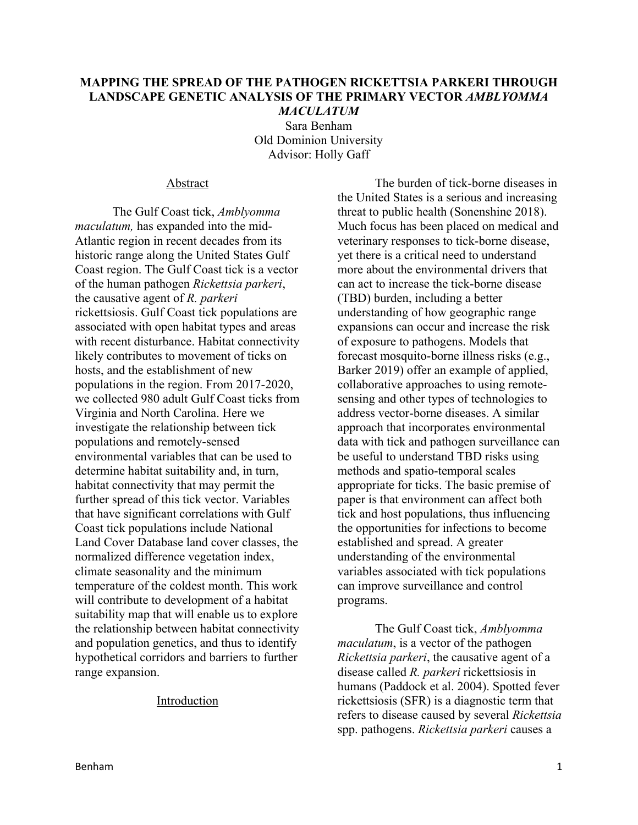## **MAPPING THE SPREAD OF THE PATHOGEN RICKETTSIA PARKERI THROUGH LANDSCAPE GENETIC ANALYSIS OF THE PRIMARY VECTOR** *AMBLYOMMA MACULATUM*

Sara Benham Old Dominion University Advisor: Holly Gaff

#### Abstract

The Gulf Coast tick, *Amblyomma maculatum,* has expanded into the mid-Atlantic region in recent decades from its historic range along the United States Gulf Coast region. The Gulf Coast tick is a vector of the human pathogen *Rickettsia parkeri*, the causative agent of *R. parkeri* rickettsiosis. Gulf Coast tick populations are associated with open habitat types and areas with recent disturbance. Habitat connectivity likely contributes to movement of ticks on hosts, and the establishment of new populations in the region. From 2017-2020, we collected 980 adult Gulf Coast ticks from Virginia and North Carolina. Here we investigate the relationship between tick populations and remotely-sensed environmental variables that can be used to determine habitat suitability and, in turn, habitat connectivity that may permit the further spread of this tick vector. Variables that have significant correlations with Gulf Coast tick populations include National Land Cover Database land cover classes, the normalized difference vegetation index, climate seasonality and the minimum temperature of the coldest month. This work will contribute to development of a habitat suitability map that will enable us to explore the relationship between habitat connectivity and population genetics, and thus to identify hypothetical corridors and barriers to further range expansion.

#### Introduction

The burden of tick-borne diseases in the United States is a serious and increasing threat to public health (Sonenshine 2018). Much focus has been placed on medical and veterinary responses to tick-borne disease, yet there is a critical need to understand more about the environmental drivers that can act to increase the tick-borne disease (TBD) burden, including a better understanding of how geographic range expansions can occur and increase the risk of exposure to pathogens. Models that forecast mosquito-borne illness risks (e.g., Barker 2019) offer an example of applied, collaborative approaches to using remotesensing and other types of technologies to address vector-borne diseases. A similar approach that incorporates environmental data with tick and pathogen surveillance can be useful to understand TBD risks using methods and spatio-temporal scales appropriate for ticks. The basic premise of paper is that environment can affect both tick and host populations, thus influencing the opportunities for infections to become established and spread. A greater understanding of the environmental variables associated with tick populations can improve surveillance and control programs.

The Gulf Coast tick, *Amblyomma maculatum*, is a vector of the pathogen *Rickettsia parkeri*, the causative agent of a disease called *R. parkeri* rickettsiosis in humans (Paddock et al. 2004). Spotted fever rickettsiosis (SFR) is a diagnostic term that refers to disease caused by several *Rickettsia*  spp. pathogens. *Rickettsia parkeri* causes a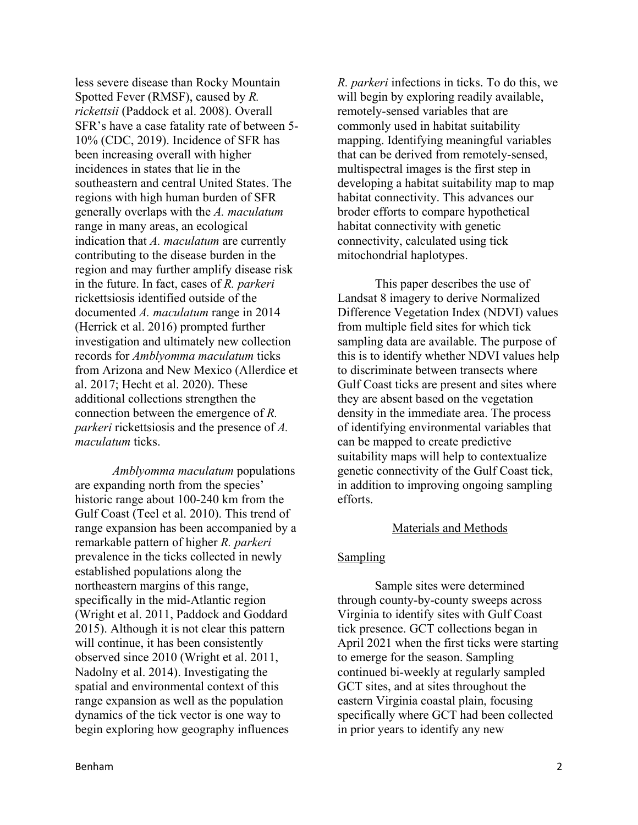less severe disease than Rocky Mountain Spotted Fever (RMSF), caused by *R. rickettsii* (Paddock et al. 2008). Overall SFR's have a case fatality rate of between 5- 10% (CDC, 2019). Incidence of SFR has been increasing overall with higher incidences in states that lie in the southeastern and central United States. The regions with high human burden of SFR generally overlaps with the *A. maculatum* range in many areas, an ecological indication that *A. maculatum* are currently contributing to the disease burden in the region and may further amplify disease risk in the future. In fact, cases of *R. parkeri* rickettsiosis identified outside of the documented *A. maculatum* range in 2014 (Herrick et al. 2016) prompted further investigation and ultimately new collection records for *Amblyomma maculatum* ticks from Arizona and New Mexico (Allerdice et al. 2017; Hecht et al. 2020). These additional collections strengthen the connection between the emergence of *R. parkeri* rickettsiosis and the presence of *A. maculatum* ticks.

*Amblyomma maculatum* populations are expanding north from the species' historic range about 100-240 km from the Gulf Coast (Teel et al. 2010). This trend of range expansion has been accompanied by a remarkable pattern of higher *R. parkeri* prevalence in the ticks collected in newly established populations along the northeastern margins of this range, specifically in the mid-Atlantic region (Wright et al. 2011, Paddock and Goddard 2015). Although it is not clear this pattern will continue, it has been consistently observed since 2010 (Wright et al. 2011, Nadolny et al. 2014). Investigating the spatial and environmental context of this range expansion as well as the population dynamics of the tick vector is one way to begin exploring how geography influences

*R. parkeri* infections in ticks. To do this, we will begin by exploring readily available, remotely-sensed variables that are commonly used in habitat suitability mapping. Identifying meaningful variables that can be derived from remotely-sensed, multispectral images is the first step in developing a habitat suitability map to map habitat connectivity. This advances our broder efforts to compare hypothetical habitat connectivity with genetic connectivity, calculated using tick mitochondrial haplotypes.

This paper describes the use of Landsat 8 imagery to derive Normalized Difference Vegetation Index (NDVI) values from multiple field sites for which tick sampling data are available. The purpose of this is to identify whether NDVI values help to discriminate between transects where Gulf Coast ticks are present and sites where they are absent based on the vegetation density in the immediate area. The process of identifying environmental variables that can be mapped to create predictive suitability maps will help to contextualize genetic connectivity of the Gulf Coast tick, in addition to improving ongoing sampling efforts.

# Materials and Methods

# **Sampling**

Sample sites were determined through county-by-county sweeps across Virginia to identify sites with Gulf Coast tick presence. GCT collections began in April 2021 when the first ticks were starting to emerge for the season. Sampling continued bi-weekly at regularly sampled GCT sites, and at sites throughout the eastern Virginia coastal plain, focusing specifically where GCT had been collected in prior years to identify any new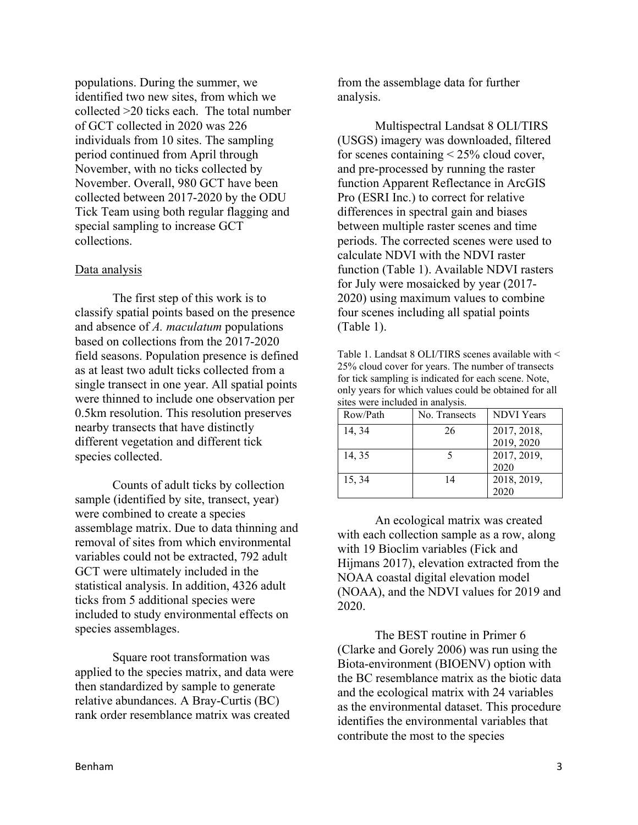populations. During the summer, we identified two new sites, from which we collected >20 ticks each. The total number of GCT collected in 2020 was 226 individuals from 10 sites. The sampling period continued from April through November, with no ticks collected by November. Overall, 980 GCT have been collected between 2017-2020 by the ODU Tick Team using both regular flagging and special sampling to increase GCT collections.

## Data analysis

The first step of this work is to classify spatial points based on the presence and absence of *A. maculatum* populations based on collections from the 2017-2020 field seasons. Population presence is defined as at least two adult ticks collected from a single transect in one year. All spatial points were thinned to include one observation per 0.5km resolution. This resolution preserves nearby transects that have distinctly different vegetation and different tick species collected.

Counts of adult ticks by collection sample (identified by site, transect, year) were combined to create a species assemblage matrix. Due to data thinning and removal of sites from which environmental variables could not be extracted, 792 adult GCT were ultimately included in the statistical analysis. In addition, 4326 adult ticks from 5 additional species were included to study environmental effects on species assemblages.

Square root transformation was applied to the species matrix, and data were then standardized by sample to generate relative abundances. A Bray-Curtis (BC) rank order resemblance matrix was created

from the assemblage data for further analysis.

Multispectral Landsat 8 OLI/TIRS (USGS) imagery was downloaded, filtered for scenes containing < 25% cloud cover, and pre-processed by running the raster function Apparent Reflectance in ArcGIS Pro (ESRI Inc.) to correct for relative differences in spectral gain and biases between multiple raster scenes and time periods. The corrected scenes were used to calculate NDVI with the NDVI raster function (Table 1). Available NDVI rasters for July were mosaicked by year (2017- 2020) using maximum values to combine four scenes including all spatial points (Table 1).

Table 1. Landsat 8 OLI/TIRS scenes available with < 25% cloud cover for years. The number of transects for tick sampling is indicated for each scene. Note, only years for which values could be obtained for all sites were included in analysis.

| Row/Path | No. Transects | <b>NDVI</b> Years |
|----------|---------------|-------------------|
| 14, 34   | 26            | 2017, 2018,       |
|          |               | 2019, 2020        |
| 14, 35   |               | 2017, 2019,       |
|          |               | 2020              |
| 15, 34   | 14            | 2018, 2019,       |
|          |               |                   |

An ecological matrix was created with each collection sample as a row, along with 19 Bioclim variables (Fick and Hijmans 2017), elevation extracted from the NOAA coastal digital elevation model (NOAA), and the NDVI values for 2019 and 2020.

The BEST routine in Primer 6 (Clarke and Gorely 2006) was run using the Biota-environment (BIOENV) option with the BC resemblance matrix as the biotic data and the ecological matrix with 24 variables as the environmental dataset. This procedure identifies the environmental variables that contribute the most to the species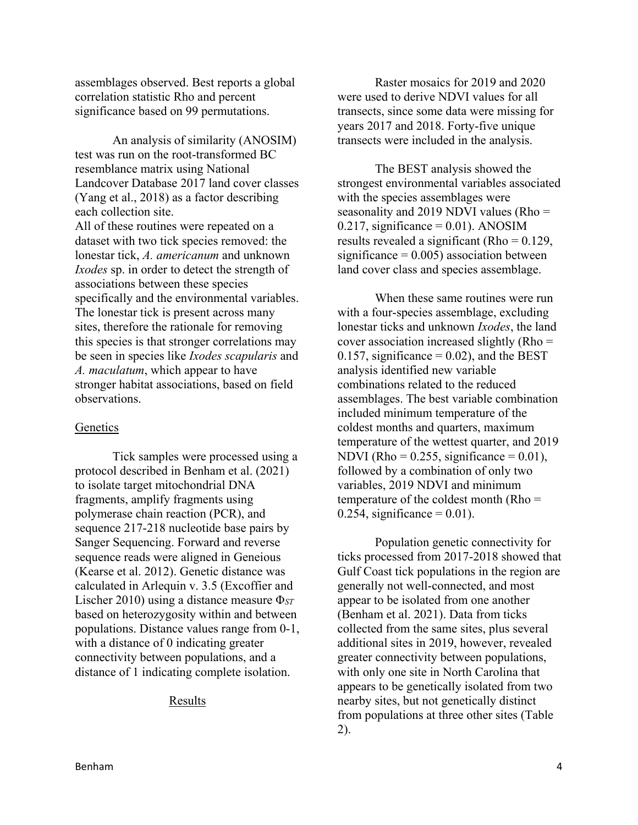assemblages observed. Best reports a global correlation statistic Rho and percent significance based on 99 permutations.

An analysis of similarity (ANOSIM) test was run on the root-transformed BC resemblance matrix using National Landcover Database 2017 land cover classes (Yang et al., 2018) as a factor describing each collection site. All of these routines were repeated on a

dataset with two tick species removed: the lonestar tick, *A. americanum* and unknown *Ixodes* sp. in order to detect the strength of associations between these species specifically and the environmental variables. The lonestar tick is present across many sites, therefore the rationale for removing this species is that stronger correlations may be seen in species like *Ixodes scapularis* and *A. maculatum*, which appear to have stronger habitat associations, based on field observations.

# Genetics

Tick samples were processed using a protocol described in Benham et al. (2021) to isolate target mitochondrial DNA fragments, amplify fragments using polymerase chain reaction (PCR), and sequence 217-218 nucleotide base pairs by Sanger Sequencing. Forward and reverse sequence reads were aligned in Geneious (Kearse et al. 2012). Genetic distance was calculated in Arlequin v. 3.5 (Excoffier and Lischer 2010) using a distance measure Φ*ST* based on heterozygosity within and between populations. Distance values range from 0-1, with a distance of 0 indicating greater connectivity between populations, and a distance of 1 indicating complete isolation.

## Results

Raster mosaics for 2019 and 2020 were used to derive NDVI values for all transects, since some data were missing for years 2017 and 2018. Forty-five unique transects were included in the analysis.

The BEST analysis showed the strongest environmental variables associated with the species assemblages were seasonality and 2019 NDVI values (Rho =  $0.217$ , significance = 0.01). ANOSIM results revealed a significant (Rho = 0.129, significance  $= 0.005$ ) association between land cover class and species assemblage.

When these same routines were run with a four-species assemblage, excluding lonestar ticks and unknown *Ixodes*, the land cover association increased slightly (Rho = 0.157, significance =  $0.02$ ), and the BEST analysis identified new variable combinations related to the reduced assemblages. The best variable combination included minimum temperature of the coldest months and quarters, maximum temperature of the wettest quarter, and 2019 NDVI (Rho =  $0.255$ , significance =  $0.01$ ), followed by a combination of only two variables, 2019 NDVI and minimum temperature of the coldest month (Rho =  $0.254$ , significance =  $0.01$ ).

Population genetic connectivity for ticks processed from 2017-2018 showed that Gulf Coast tick populations in the region are generally not well-connected, and most appear to be isolated from one another (Benham et al. 2021). Data from ticks collected from the same sites, plus several additional sites in 2019, however, revealed greater connectivity between populations, with only one site in North Carolina that appears to be genetically isolated from two nearby sites, but not genetically distinct from populations at three other sites (Table 2).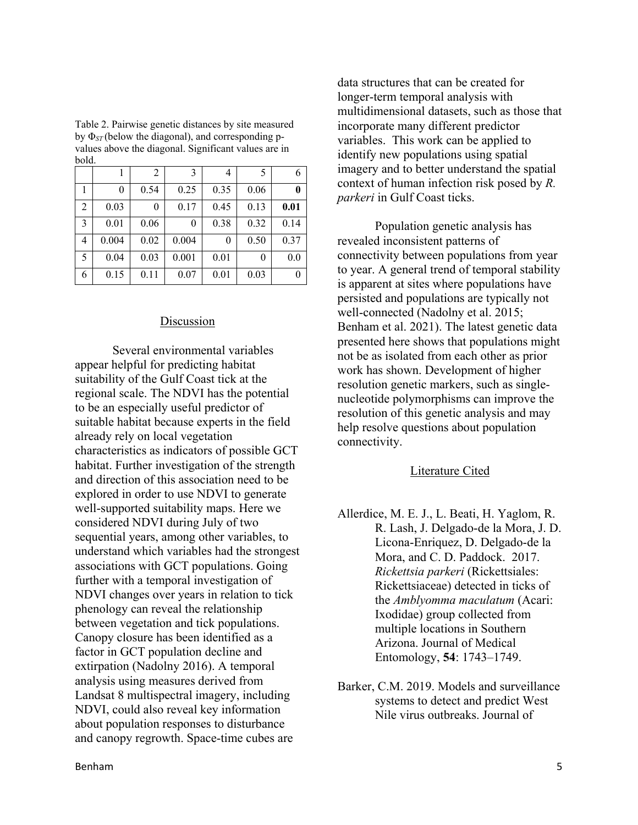| ovia. |       |                |       |      |      |      |
|-------|-------|----------------|-------|------|------|------|
|       |       | $\overline{2}$ | 3     | 4    | 5    | 6    |
|       | 0     | 0.54           | 0.25  | 0.35 | 0.06 | 0    |
| 2     | 0.03  | 0              | 0.17  | 0.45 | 0.13 | 0.01 |
| 3     | 0.01  | 0.06           | 0     | 0.38 | 0.32 | 0.14 |
| 4     | 0.004 | 0.02           | 0.004 | 0    | 0.50 | 0.37 |
| 5     | 0.04  | 0.03           | 0.001 | 0.01 | 0    | 0.0  |
| 6     | 0.15  | 0.11           | 0.07  | 0.01 | 0.03 | 0    |

Table 2. Pairwise genetic distances by site measured by Φ*ST* (below the diagonal), and corresponding pvalues above the diagonal. Significant values are in bold.

### Discussion

Several environmental variables appear helpful for predicting habitat suitability of the Gulf Coast tick at the regional scale. The NDVI has the potential to be an especially useful predictor of suitable habitat because experts in the field already rely on local vegetation characteristics as indicators of possible GCT habitat. Further investigation of the strength and direction of this association need to be explored in order to use NDVI to generate well-supported suitability maps. Here we considered NDVI during July of two sequential years, among other variables, to understand which variables had the strongest associations with GCT populations. Going further with a temporal investigation of NDVI changes over years in relation to tick phenology can reveal the relationship between vegetation and tick populations. Canopy closure has been identified as a factor in GCT population decline and extirpation (Nadolny 2016). A temporal analysis using measures derived from Landsat 8 multispectral imagery, including NDVI, could also reveal key information about population responses to disturbance and canopy regrowth. Space-time cubes are

data structures that can be created for longer-term temporal analysis with multidimensional datasets, such as those that incorporate many different predictor variables. This work can be applied to identify new populations using spatial imagery and to better understand the spatial context of human infection risk posed by *R. parkeri* in Gulf Coast ticks.

Population genetic analysis has revealed inconsistent patterns of connectivity between populations from year to year. A general trend of temporal stability is apparent at sites where populations have persisted and populations are typically not well-connected (Nadolny et al. 2015; Benham et al. 2021). The latest genetic data presented here shows that populations might not be as isolated from each other as prior work has shown. Development of higher resolution genetic markers, such as singlenucleotide polymorphisms can improve the resolution of this genetic analysis and may help resolve questions about population connectivity.

## Literature Cited

- Allerdice, M. E. J., L. Beati, H. Yaglom, R. R. Lash, J. Delgado-de la Mora, J. D. Licona-Enriquez, D. Delgado-de la Mora, and C. D. Paddock. 2017. *Rickettsia parkeri* (Rickettsiales: Rickettsiaceae) detected in ticks of the *Amblyomma maculatum* (Acari: Ixodidae) group collected from multiple locations in Southern Arizona. Journal of Medical Entomology, **54**: 1743–1749.
- Barker, C.M. 2019. Models and surveillance systems to detect and predict West Nile virus outbreaks. Journal of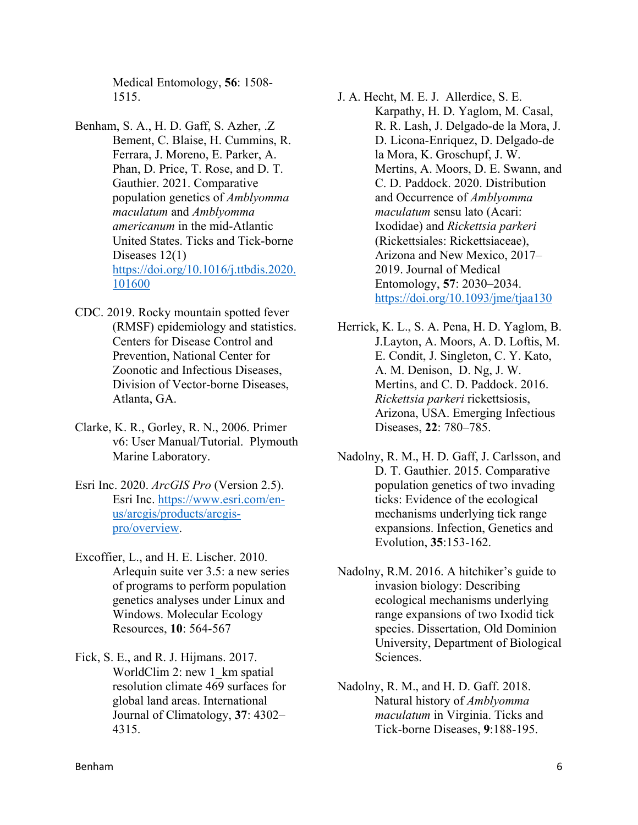Medical Entomology, **56**: 1508- 1515.

- Benham, S. A., H. D. Gaff, S. Azher, .Z Bement, C. Blaise, H. Cummins, R. Ferrara, J. Moreno, E. Parker, A. Phan, D. Price, T. Rose, and D. T. Gauthier. 2021. Comparative population genetics of *Amblyomma maculatum* and *Amblyomma americanum* in the mid-Atlantic United States. Ticks and Tick-borne Diseases 12(1) [https://doi.org/10.1016/j.ttbdis.2020.](https://doi.org/10.1016/j.ttbdis.2020.101600) [101600](https://doi.org/10.1016/j.ttbdis.2020.101600)
- CDC. 2019. Rocky mountain spotted fever (RMSF) epidemiology and statistics. Centers for Disease Control and Prevention, National Center for Zoonotic and Infectious Diseases, Division of Vector-borne Diseases, Atlanta, GA.
- Clarke, K. R., Gorley, R. N., 2006. Primer v6: User Manual/Tutorial. Plymouth Marine Laboratory.
- Esri Inc. 2020. *ArcGIS Pro* (Version 2.5). Esri Inc. [https://www.esri.com/en](https://www.esri.com/en-us/arcgis/products/arcgis-pro/overview)[us/arcgis/products/arcgis](https://www.esri.com/en-us/arcgis/products/arcgis-pro/overview)[pro/overview.](https://www.esri.com/en-us/arcgis/products/arcgis-pro/overview)
- Excoffier, L., and H. E. Lischer. 2010. Arlequin suite ver 3.5: a new series of programs to perform population genetics analyses under Linux and Windows. Molecular Ecology Resources, **10**: 564-567
- Fick, S. E., and R. J. Hijmans. 2017. WorldClim 2: new 1 km spatial resolution climate 469 surfaces for global land areas. International Journal of Climatology, **37**: 4302– 4315.

J. A. Hecht, M. E. J. Allerdice, S. E. Karpathy, H. D. Yaglom, M. Casal, R. R. Lash, J. Delgado-de la Mora, J. D. Licona-Enriquez, D. Delgado-de la Mora, K. Groschupf, J. W. Mertins, A. Moors, D. E. Swann, and C. D. Paddock. 2020. Distribution and Occurrence of *Amblyomma maculatum* sensu lato (Acari: Ixodidae) and *Rickettsia parkeri* (Rickettsiales: Rickettsiaceae), Arizona and New Mexico, 2017– 2019. Journal of Medical Entomology, **57**: 2030–2034. <https://doi.org/10.1093/jme/tjaa130>

Herrick, K. L., S. A. Pena, H. D. Yaglom, B. J.Layton, A. Moors, A. D. Loftis, M. E. Condit, J. Singleton, C. Y. Kato, A. M. Denison, D. Ng, J. W. Mertins, and C. D. Paddock. 2016. *Rickettsia parkeri* rickettsiosis, Arizona, USA. Emerging Infectious Diseases, **22**: 780–785.

- Nadolny, R. M., H. D. Gaff, J. Carlsson, and D. T. Gauthier. 2015. Comparative population genetics of two invading ticks: Evidence of the ecological mechanisms underlying tick range expansions. Infection, Genetics and Evolution, **35**:153-162.
- Nadolny, R.M. 2016. A hitchiker's guide to invasion biology: Describing ecological mechanisms underlying range expansions of two Ixodid tick species. Dissertation, Old Dominion University, Department of Biological Sciences.
- Nadolny, R. M., and H. D. Gaff. 2018. Natural history of *Amblyomma maculatum* in Virginia. Ticks and Tick-borne Diseases, **9**:188-195.